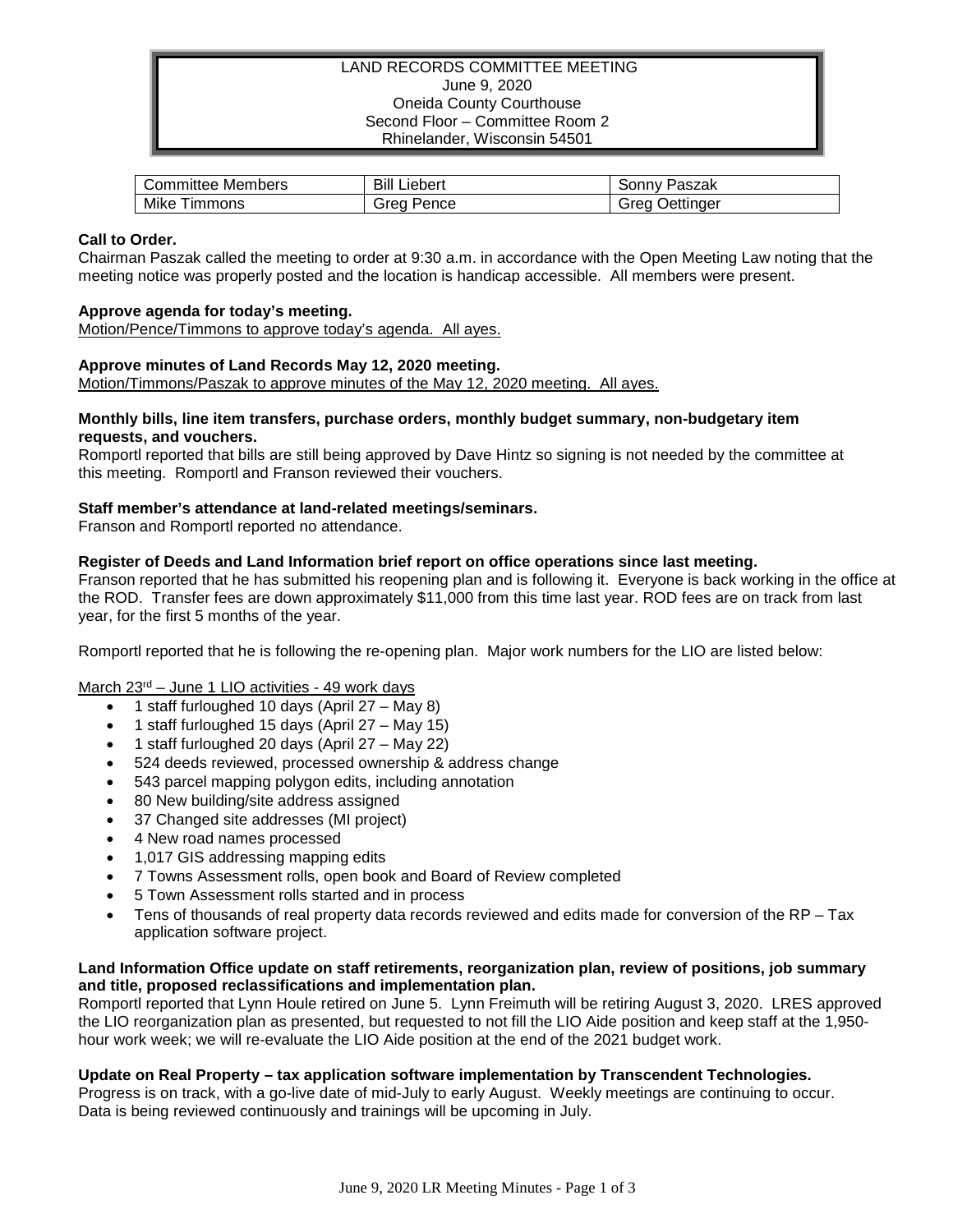### LAND RECORDS COMMITTEE MEETING June 9, 2020 Oneida County Courthouse Second Floor – Committee Room 2 Rhinelander, Wisconsin 54501

| Members   | Bill    | Paszak      |
|-----------|---------|-------------|
| Committee | ∟iebert | َ onnvد     |
| Mike      | Pence   | Jettinaer   |
| Timmons   | Grea    | <b>Grea</b> |

## **Call to Order.**

Chairman Paszak called the meeting to order at 9:30 a.m. in accordance with the Open Meeting Law noting that the meeting notice was properly posted and the location is handicap accessible. All members were present.

## **Approve agenda for today's meeting.**

Motion/Pence/Timmons to approve today's agenda. All ayes.

#### **Approve minutes of Land Records May 12, 2020 meeting.**

Motion/Timmons/Paszak to approve minutes of the May 12, 2020 meeting. All ayes.

#### **Monthly bills, line item transfers, purchase orders, monthly budget summary, non-budgetary item requests, and vouchers.**

Romportl reported that bills are still being approved by Dave Hintz so signing is not needed by the committee at this meeting. Romportl and Franson reviewed their vouchers.

#### **Staff member's attendance at land-related meetings/seminars.**

Franson and Romportl reported no attendance.

## **Register of Deeds and Land Information brief report on office operations since last meeting.**

Franson reported that he has submitted his reopening plan and is following it. Everyone is back working in the office at the ROD. Transfer fees are down approximately \$11,000 from this time last year. ROD fees are on track from last year, for the first 5 months of the year.

Romportl reported that he is following the re-opening plan. Major work numbers for the LIO are listed below:

#### March 23<sup>rd</sup> – June 1 LIO activities - 49 work days

- 1 staff furloughed 10 days (April 27 May 8)
- 1 staff furloughed 15 days (April 27 May 15)
- 1 staff furloughed 20 days (April 27 May 22)
- 524 deeds reviewed, processed ownership & address change
- 543 parcel mapping polygon edits, including annotation
- 80 New building/site address assigned
- 37 Changed site addresses (MI project)
- 4 New road names processed
- 1,017 GIS addressing mapping edits
- 7 Towns Assessment rolls, open book and Board of Review completed
- 5 Town Assessment rolls started and in process
- Tens of thousands of real property data records reviewed and edits made for conversion of the RP Tax application software project.

#### **Land Information Office update on staff retirements, reorganization plan, review of positions, job summary and title, proposed reclassifications and implementation plan.**

Romportl reported that Lynn Houle retired on June 5. Lynn Freimuth will be retiring August 3, 2020. LRES approved the LIO reorganization plan as presented, but requested to not fill the LIO Aide position and keep staff at the 1,950 hour work week; we will re-evaluate the LIO Aide position at the end of the 2021 budget work.

#### **Update on Real Property – tax application software implementation by Transcendent Technologies.**

Progress is on track, with a go-live date of mid-July to early August. Weekly meetings are continuing to occur. Data is being reviewed continuously and trainings will be upcoming in July.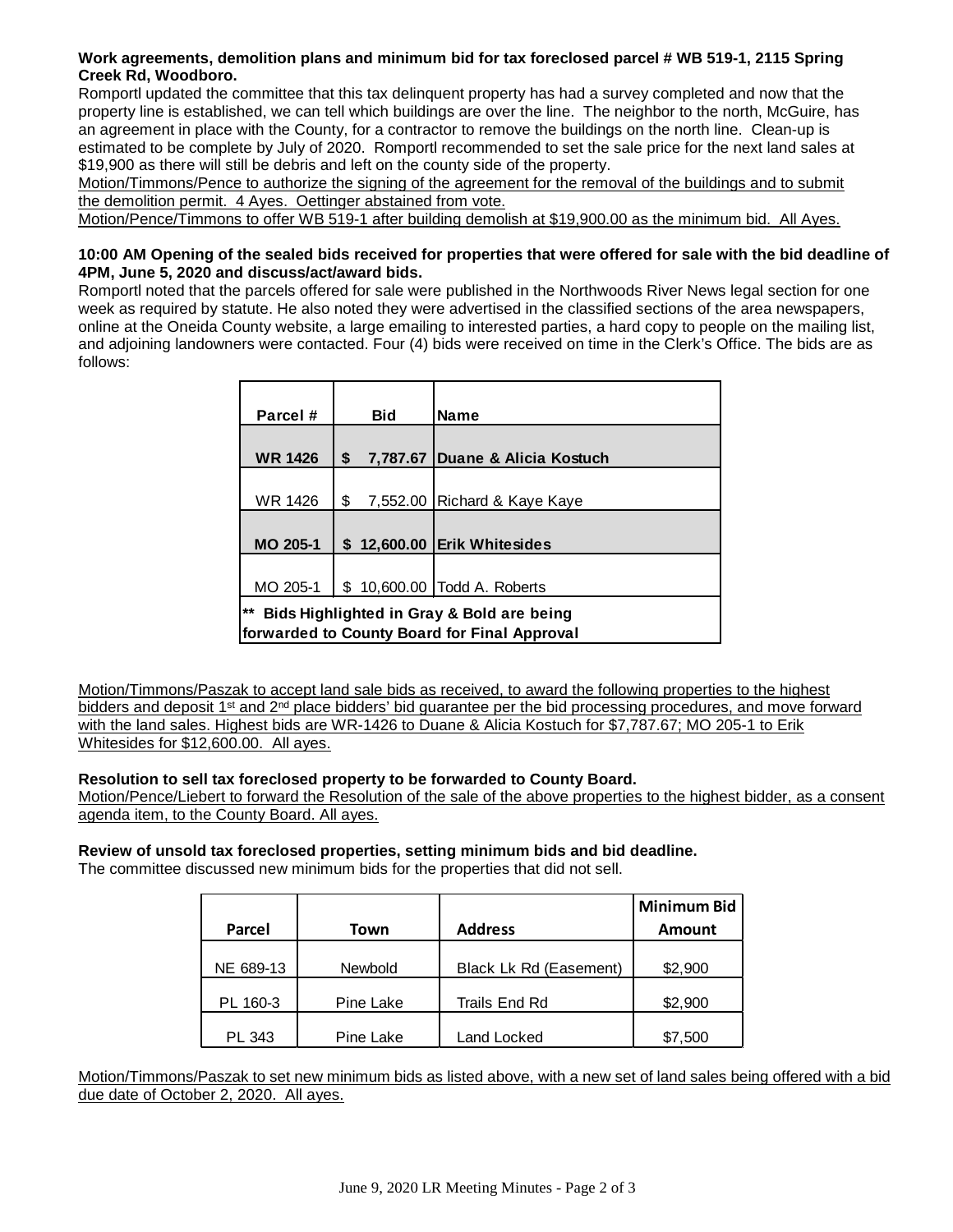# **Work agreements, demolition plans and minimum bid for tax foreclosed parcel # WB 519-1, 2115 Spring Creek Rd, Woodboro.**

Romportl updated the committee that this tax delinquent property has had a survey completed and now that the property line is established, we can tell which buildings are over the line. The neighbor to the north, McGuire, has an agreement in place with the County, for a contractor to remove the buildings on the north line. Clean-up is estimated to be complete by July of 2020. Romportl recommended to set the sale price for the next land sales at \$19,900 as there will still be debris and left on the county side of the property.

Motion/Timmons/Pence to authorize the signing of the agreement for the removal of the buildings and to submit the demolition permit. 4 Ayes. Oettinger abstained from vote.

Motion/Pence/Timmons to offer WB 519-1 after building demolish at \$19,900.00 as the minimum bid. All Ayes.

## **10:00 AM Opening of the sealed bids received for properties that were offered for sale with the bid deadline of 4PM, June 5, 2020 and discuss/act/award bids.**

Romportl noted that the parcels offered for sale were published in the Northwoods River News legal section for one week as required by statute. He also noted they were advertised in the classified sections of the area newspapers, online at the Oneida County website, a large emailing to interested parties, a hard copy to people on the mailing list, and adjoining landowners were contacted. Four (4) bids were received on time in the Clerk's Office. The bids are as follows:

| Parcel #                                           |    | <b>Bid</b> | <b>Name</b>                     |  |  |
|----------------------------------------------------|----|------------|---------------------------------|--|--|
|                                                    |    |            |                                 |  |  |
| <b>WR 1426</b>                                     | \$ |            | 7,787.67 Duane & Alicia Kostuch |  |  |
|                                                    |    |            |                                 |  |  |
| WR 1426                                            | \$ |            | 7,552.00   Richard & Kaye Kaye  |  |  |
|                                                    |    |            |                                 |  |  |
| <b>MO 205-1</b>                                    |    |            | \$12,600,00 Erik Whitesides     |  |  |
|                                                    |    |            |                                 |  |  |
| MO 205-1                                           |    |            | \$10,600.00   Todd A. Roberts   |  |  |
| $***$<br>Bids Highlighted in Gray & Bold are being |    |            |                                 |  |  |
| forwarded to County Board for Final Approval       |    |            |                                 |  |  |

Motion/Timmons/Paszak to accept land sale bids as received, to award the following properties to the highest bidders and deposit 1<sup>st</sup> and 2<sup>nd</sup> place bidders' bid guarantee per the bid processing procedures, and move forward with the land sales. Highest bids are WR-1426 to Duane & Alicia Kostuch for \$7,787.67; MO 205-1 to Erik Whitesides for \$12,600.00. All ayes.

# **Resolution to sell tax foreclosed property to be forwarded to County Board.**

Motion/Pence/Liebert to forward the Resolution of the sale of the above properties to the highest bidder, as a consent agenda item, to the County Board. All ayes.

# **Review of unsold tax foreclosed properties, setting minimum bids and bid deadline.**

The committee discussed new minimum bids for the properties that did not sell.

|           |           |                        | <b>Minimum Bid</b> |
|-----------|-----------|------------------------|--------------------|
| Parcel    | Town      | <b>Address</b>         | Amount             |
|           |           |                        |                    |
| NE 689-13 | Newbold   | Black Lk Rd (Easement) | \$2,900            |
| PL 160-3  | Pine Lake | Trails End Rd          | \$2,900            |
| PL 343    | Pine Lake | Land Locked            | \$7,500            |

Motion/Timmons/Paszak to set new minimum bids as listed above, with a new set of land sales being offered with a bid due date of October 2, 2020. All ayes.